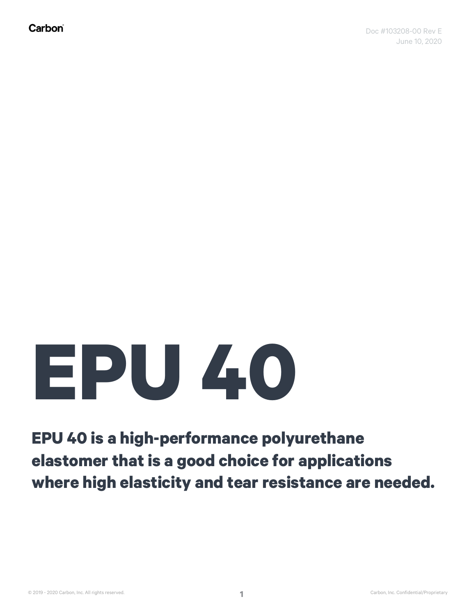## **EPU 40**

## **EPU 40 is a high-performance polyurethane elastomer that is a good choice for applications where high elasticity and tear resistance are needed.**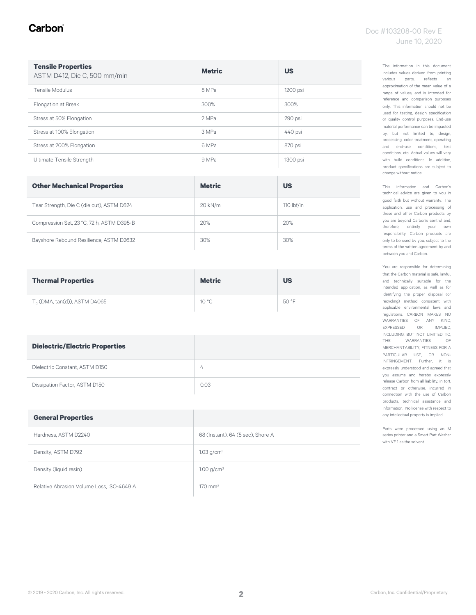#### Carbon

| <b>Tensile Properties</b><br>ASTM D412, Die C, 500 mm/min | <b>Metric</b> | <b>US</b> |
|-----------------------------------------------------------|---------------|-----------|
| Tensile Modulus                                           | 8 MPa         | 1200 psi  |
| Elongation at Break                                       | 300%          | 300%      |
| Stress at 50% Elongation                                  | 2 MPa         | 290 psi   |
| Stress at 100% Elongation                                 | 3 MPa         | 440 psi   |
| Stress at 200% Elongation                                 | 6 MPa         | 870 psi   |
| Ultimate Tensile Strength                                 | 9 MPa         | 1300 psi  |

| <b>Other Mechanical Properties</b>        | <b>Metric</b> | <b>US</b>    |
|-------------------------------------------|---------------|--------------|
| Tear Strength, Die C (die cut), ASTM D624 | 20 kN/m       | 110 $lbf/in$ |
| Compression Set, 23 °C, 72 h, ASTM D395-B | 20%           | 20%          |
| Bayshore Rebound Resilience, ASTM D2632   | 30%           | 30%          |

| <b>Thermal Properties</b>      | <b>Metric</b>  | <b>US</b> |
|--------------------------------|----------------|-----------|
| $Ta$ (DMA, tan(d)), ASTM D4065 | $10^{\circ}$ C | 50 °F     |

| <b>Dielectric/Electric Properties</b> |                |
|---------------------------------------|----------------|
| Dielectric Constant, ASTM D150        | $\overline{4}$ |
| Dissipation Factor, ASTM D150         | 0.03           |

| <b>General Properties</b>                 |                                   |
|-------------------------------------------|-----------------------------------|
| Hardness, ASTM D2240                      | 68 (Instant), 64 (5 sec), Shore A |
| Density, ASTM D792                        | 1.03 g/cm <sup>3</sup>            |
| Density (liquid resin)                    | $1.00$ g/cm <sup>3</sup>          |
| Relative Abrasion Volume Loss, ISO-4649 A | $170 \text{ mm}^3$                |

The information in this document includes values derived from printing various parts, reflects an approximation of the mean value of a range of values, and is intended for reference and comparison purposes only. This information should not be used for testing, design specification or quality control purposes. End-use material performance can be impacted by, but not limited to, design, processing, color treatment, operating and end-use conditions, test conditions, etc. Actual values will vary with build conditions. In addition, product specifications are subject to change without notice.

This information and Carbon's technical advice are given to you in good faith but without warranty. The application, use and processing of these and other Carbon products by you are beyond Carbon's control and, therefore, entirely your own responsibility. Carbon products are only to be used by you, subject to the terms of the written agreement by and between you and Carbon.

You are responsible for determining that the Carbon material is safe, lawful, and technically suitable for the intended application, as well as for identifying the proper disposal (or recycling) method consistent with applicable environmental laws and regulations. CARBON MAKES NO WARRANTIES OF ANY KIND, EXPRESSED OR IMPLIED, INCLUDING, BUT NOT LIMITED TO, THE WARRANTIES OF MERCHANTABILITY, FITNESS FOR A PARTICULAR USE, OR NON-INFRINGEMENT. Further, it is expressly understood and agreed that you assume and hereby expressly release Carbon from all liability, in tort, contract or otherwise, incurred in connection with the use of Carbon products, technical assistance and information. No license with respect to any intellectual property is implied.

Parts were processed using an M series printer and a Smart Part Washer with VF 1 as the solvent.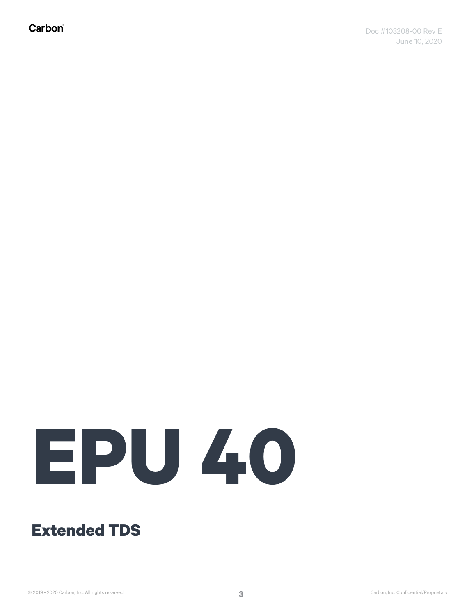Carbon®

# **EPU 40**

#### **Extended TDS**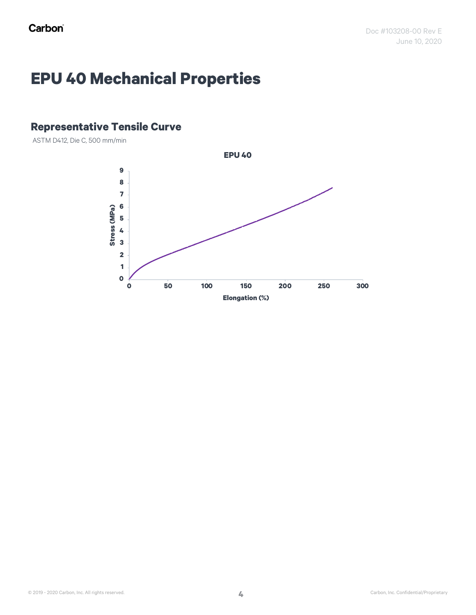### **EPU 40 Mechanical Properties**

#### **Representative Tensile Curve**

ASTM D412, Die C, 500 mm/min

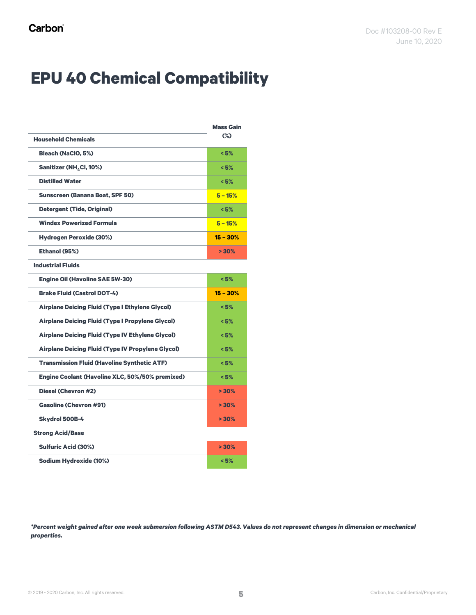## **EPU 40 Chemical Compatibility**

|                                                          | <b>Mass Gain</b> |
|----------------------------------------------------------|------------------|
| <b>Household Chemicals</b>                               | $(\%)$           |
| <b>Bleach (NaClO, 5%)</b>                                | < 5%             |
| Sanitizer (NH <sub>4</sub> Cl, 10%)                      | < 5%             |
| <b>Distilled Water</b>                                   | < 5%             |
| <b>Sunscreen (Banana Boat, SPF 50)</b>                   | $5 - 15%$        |
| <b>Detergent (Tide, Original)</b>                        | < 5%             |
| <b>Windex Powerized Formula</b>                          | $5 - 15%$        |
| <b>Hydrogen Peroxide (30%)</b>                           | $15 - 30%$       |
| Ethanol (95%)                                            | $> 30\%$         |
| <b>Industrial Fluids</b>                                 |                  |
| <b>Engine Oil (Havoline SAE 5W-30)</b>                   | < 5%             |
| <b>Brake Fluid (Castrol DOT-4)</b>                       | $15 - 30%$       |
| <b>Airplane Deicing Fluid (Type I Ethylene Glycol)</b>   | < 5%             |
| <b>Airplane Deicing Fluid (Type I Propylene Glycol)</b>  | < 5%             |
| <b>Airplane Deicing Fluid (Type IV Ethylene Glycol)</b>  | < 5%             |
| <b>Airplane Deicing Fluid (Type IV Propylene Glycol)</b> | < 5%             |
| <b>Transmission Fluid (Havoline Synthetic ATF)</b>       | < 5%             |
| Engine Coolant (Havoline XLC, 50%/50% premixed)          | < 5%             |
| <b>Diesel (Chevron #2)</b>                               | $> 30\%$         |
| <b>Gasoline (Chevron #91)</b>                            | $> 30\%$         |
| <b>Skydrol 500B-4</b>                                    | $> 30\%$         |
| <b>Strong Acid/Base</b>                                  |                  |
| <b>Sulfuric Acid (30%)</b>                               | >30%             |
| <b>Sodium Hydroxide (10%)</b>                            | < 5%             |

*\*Percent weight gained after one week submersion following ASTM D543. Values do not represent changes in dimension or mechanical properties.*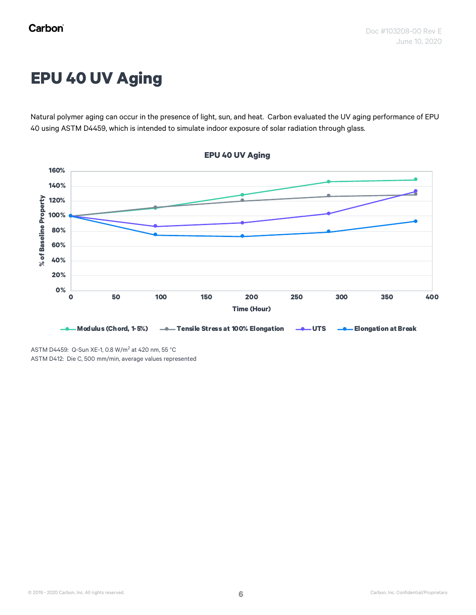## **EPU 40 UV Aging**

Natural polymer aging can occur in the presence of light, sun, and heat. Carbon evaluated the UV aging performance of EPU 40 using ASTM D4459, which is intended to simulate indoor exposure of solar radiation through glass.



**EPU 40 UV Aging**

ASTM D4459: Q-Sun XE-1, 0.8 W/m<sup>2</sup> at 420 nm, 55 °C ASTM D412: Die C, 500 mm/min, average values represented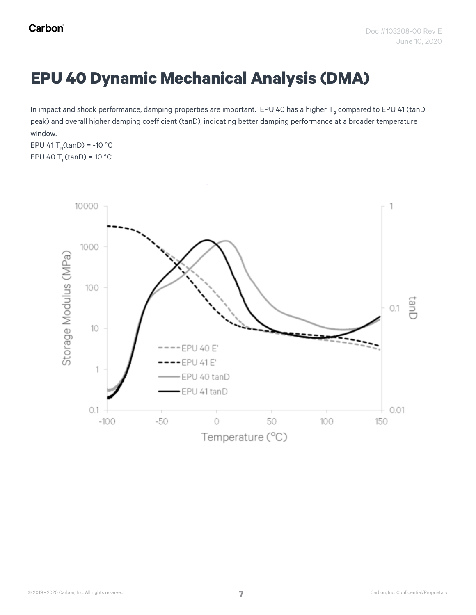#### **EPU 40 Dynamic Mechanical Analysis (DMA)**

In impact and shock performance, damping properties are important. EPU 40 has a higher  $T_g$  compared to EPU 41 (tanD peak) and overall higher damping coefficient (tanD), indicating better damping performance at a broader temperature window.

EPU 41 T<sub>q</sub>(tanD) = -10 °C EPU 40  $T_g$ (tanD) = 10 °C